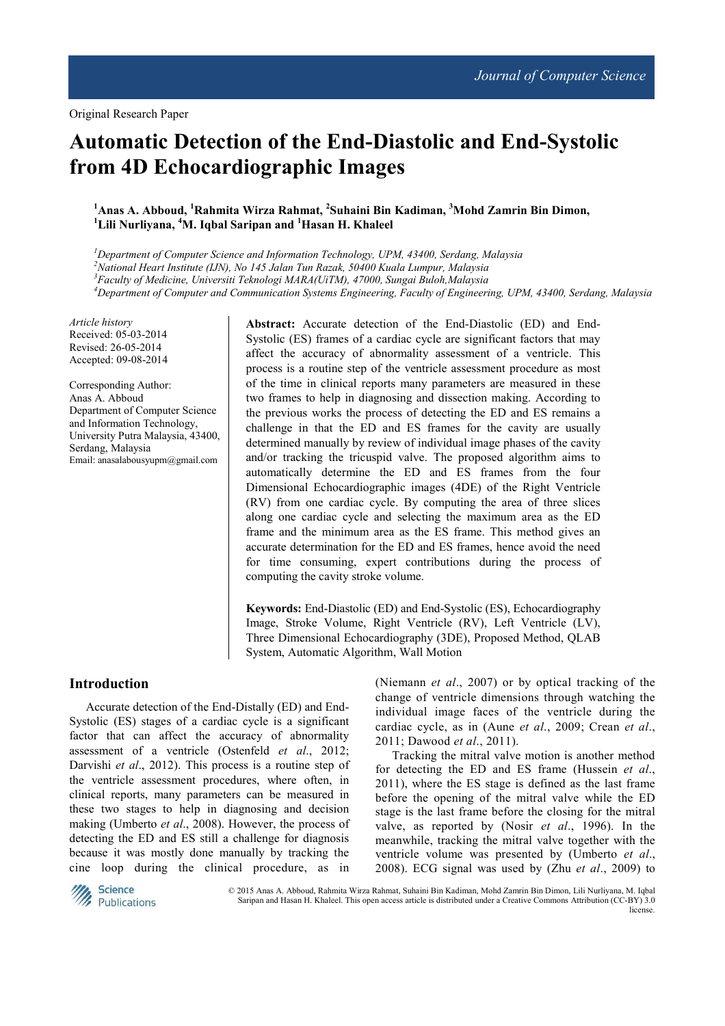Original Research Paper

# **Automatic Detection of the End-Diastolic and End-Systolic from 4D Echocardiographic Images**

## **<sup>1</sup>Anas A. Abboud, <sup>1</sup>Rahmita Wirza Rahmat, <sup>2</sup> Suhaini Bin Kadiman, <sup>3</sup>Mohd Zamrin Bin Dimon, <sup>1</sup>Lili Nurliyana, <sup>4</sup>M. Iqbal Saripan and <sup>1</sup>Hasan H. Khaleel**

*Department of Computer Science and Information Technology, UPM, 43400, Serdang, Malaysia National Heart Institute (IJN), No 145 Jalan Tun Razak, 50400 Kuala Lumpur, Malaysia Faculty of Medicine, Universiti Teknologi MARA(UiTM), 47000, Sungai Buloh,Malaysia Department of Computer and Communication Systems Engineering, Faculty of Engineering, UPM, 43400, Serdang, Malaysia* 

*Article history* Received: 05-03-2014 Revised: 26-05-2014 Accepted: 09-08-2014

Corresponding Author: Anas A. Abboud Department of Computer Science and Information Technology, University Putra Malaysia, 43400, Serdang, Malaysia Email: anasalabousyupm@gmail.com

**Abstract:** Accurate detection of the End-Diastolic (ED) and End-Systolic (ES) frames of a cardiac cycle are significant factors that may affect the accuracy of abnormality assessment of a ventricle. This process is a routine step of the ventricle assessment procedure as most of the time in clinical reports many parameters are measured in these two frames to help in diagnosing and dissection making. According to the previous works the process of detecting the ED and ES remains a challenge in that the ED and ES frames for the cavity are usually determined manually by review of individual image phases of the cavity and/or tracking the tricuspid valve. The proposed algorithm aims to automatically determine the ED and ES frames from the four Dimensional Echocardiographic images (4DE) of the Right Ventricle (RV) from one cardiac cycle. By computing the area of three slices along one cardiac cycle and selecting the maximum area as the ED frame and the minimum area as the ES frame. This method gives an accurate determination for the ED and ES frames, hence avoid the need for time consuming, expert contributions during the process of computing the cavity stroke volume.

**Keywords:** End-Diastolic (ED) and End-Systolic (ES), Echocardiography Image, Stroke Volume, Right Ventricle (RV), Left Ventricle (LV), Three Dimensional Echocardiography (3DE), Proposed Method, QLAB System, Automatic Algorithm, Wall Motion

## **Introduction**

Accurate detection of the End-Distally (ED) and End-Systolic (ES) stages of a cardiac cycle is a significant factor that can affect the accuracy of abnormality assessment of a ventricle (Ostenfeld *et al*., 2012; Darvishi *et al*., 2012). This process is a routine step of the ventricle assessment procedures, where often, in clinical reports, many parameters can be measured in these two stages to help in diagnosing and decision making (Umberto *et al*., 2008). However, the process of detecting the ED and ES still a challenge for diagnosis because it was mostly done manually by tracking the cine loop during the clinical procedure, as in (Niemann *et al*., 2007) or by optical tracking of the change of ventricle dimensions through watching the individual image faces of the ventricle during the cardiac cycle, as in (Aune *et al*., 2009; Crean *et al*., 2011; Dawood *et al*., 2011).

Tracking the mitral valve motion is another method for detecting the ED and ES frame (Hussein *et al*., 2011), where the ES stage is defined as the last frame before the opening of the mitral valve while the ED stage is the last frame before the closing for the mitral valve, as reported by (Nosir *et al*., 1996). In the meanwhile, tracking the mitral valve together with the ventricle volume was presented by (Umberto *et al*., 2008). ECG signal was used by (Zhu *et al*., 2009) to



© 2015 Anas A. Abboud, Rahmita Wirza Rahmat, Suhaini Bin Kadiman, Mohd Zamrin Bin Dimon, Lili Nurliyana, M. Iqbal Saripan and Hasan H. Khaleel. This open access article is distributed under a Creative Commons Attribution (CC-BY) 3.0 license.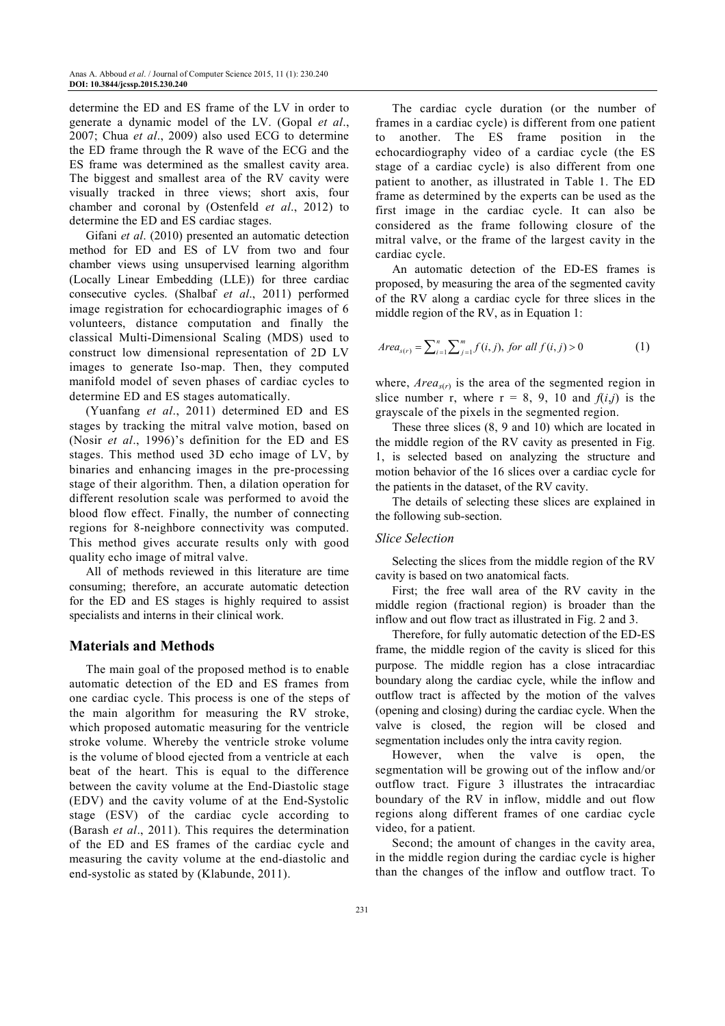determine the ED and ES frame of the LV in order to generate a dynamic model of the LV. (Gopal *et al*., 2007; Chua *et al*., 2009) also used ECG to determine the ED frame through the R wave of the ECG and the ES frame was determined as the smallest cavity area. The biggest and smallest area of the RV cavity were visually tracked in three views; short axis, four chamber and coronal by (Ostenfeld *et al*., 2012) to determine the ED and ES cardiac stages.

Gifani *et al*. (2010) presented an automatic detection method for ED and ES of LV from two and four chamber views using unsupervised learning algorithm (Locally Linear Embedding (LLE)) for three cardiac consecutive cycles. (Shalbaf *et al*., 2011) performed image registration for echocardiographic images of 6 volunteers, distance computation and finally the classical Multi-Dimensional Scaling (MDS) used to construct low dimensional representation of 2D LV images to generate Iso-map. Then, they computed manifold model of seven phases of cardiac cycles to determine ED and ES stages automatically.

(Yuanfang *et al*., 2011) determined ED and ES stages by tracking the mitral valve motion, based on (Nosir *et al*., 1996)'s definition for the ED and ES stages. This method used 3D echo image of LV, by binaries and enhancing images in the pre-processing stage of their algorithm. Then, a dilation operation for different resolution scale was performed to avoid the blood flow effect. Finally, the number of connecting regions for 8-neighbore connectivity was computed. This method gives accurate results only with good quality echo image of mitral valve.

All of methods reviewed in this literature are time consuming; therefore, an accurate automatic detection for the ED and ES stages is highly required to assist specialists and interns in their clinical work.

## **Materials and Methods**

The main goal of the proposed method is to enable automatic detection of the ED and ES frames from one cardiac cycle. This process is one of the steps of the main algorithm for measuring the RV stroke, which proposed automatic measuring for the ventricle stroke volume. Whereby the ventricle stroke volume is the volume of blood ejected from a ventricle at each beat of the heart. This is equal to the difference between the cavity volume at the End-Diastolic stage (EDV) and the cavity volume of at the End-Systolic stage (ESV) of the cardiac cycle according to (Barash *et al*., 2011). This requires the determination of the ED and ES frames of the cardiac cycle and measuring the cavity volume at the end-diastolic and end-systolic as stated by (Klabunde, 2011).

The cardiac cycle duration (or the number of frames in a cardiac cycle) is different from one patient to another. The ES frame position in the echocardiography video of a cardiac cycle (the ES stage of a cardiac cycle) is also different from one patient to another, as illustrated in Table 1. The ED frame as determined by the experts can be used as the first image in the cardiac cycle. It can also be considered as the frame following closure of the mitral valve, or the frame of the largest cavity in the cardiac cycle.

An automatic detection of the ED-ES frames is proposed, by measuring the area of the segmented cavity of the RV along a cardiac cycle for three slices in the middle region of the RV, as in Equation 1:

Area<sub>s(r)</sub> = 
$$
\sum_{i=1}^{n} \sum_{j=1}^{m} f(i, j)
$$
, for all  $f(i, j) > 0$  (1)

where,  $Area_{s(r)}$  is the area of the segmented region in slice number r, where  $r = 8$ , 9, 10 and  $f(i,j)$  is the grayscale of the pixels in the segmented region.

These three slices (8, 9 and 10) which are located in the middle region of the RV cavity as presented in Fig. 1, is selected based on analyzing the structure and motion behavior of the 16 slices over a cardiac cycle for the patients in the dataset, of the RV cavity.

The details of selecting these slices are explained in the following sub-section.

#### *Slice Selection*

Selecting the slices from the middle region of the RV cavity is based on two anatomical facts.

First; the free wall area of the RV cavity in the middle region (fractional region) is broader than the inflow and out flow tract as illustrated in Fig. 2 and 3.

Therefore, for fully automatic detection of the ED-ES frame, the middle region of the cavity is sliced for this purpose. The middle region has a close intracardiac boundary along the cardiac cycle, while the inflow and outflow tract is affected by the motion of the valves (opening and closing) during the cardiac cycle. When the valve is closed, the region will be closed and segmentation includes only the intra cavity region.

However, when the valve is open, the segmentation will be growing out of the inflow and/or outflow tract. Figure 3 illustrates the intracardiac boundary of the RV in inflow, middle and out flow regions along different frames of one cardiac cycle video, for a patient.

Second; the amount of changes in the cavity area, in the middle region during the cardiac cycle is higher than the changes of the inflow and outflow tract. To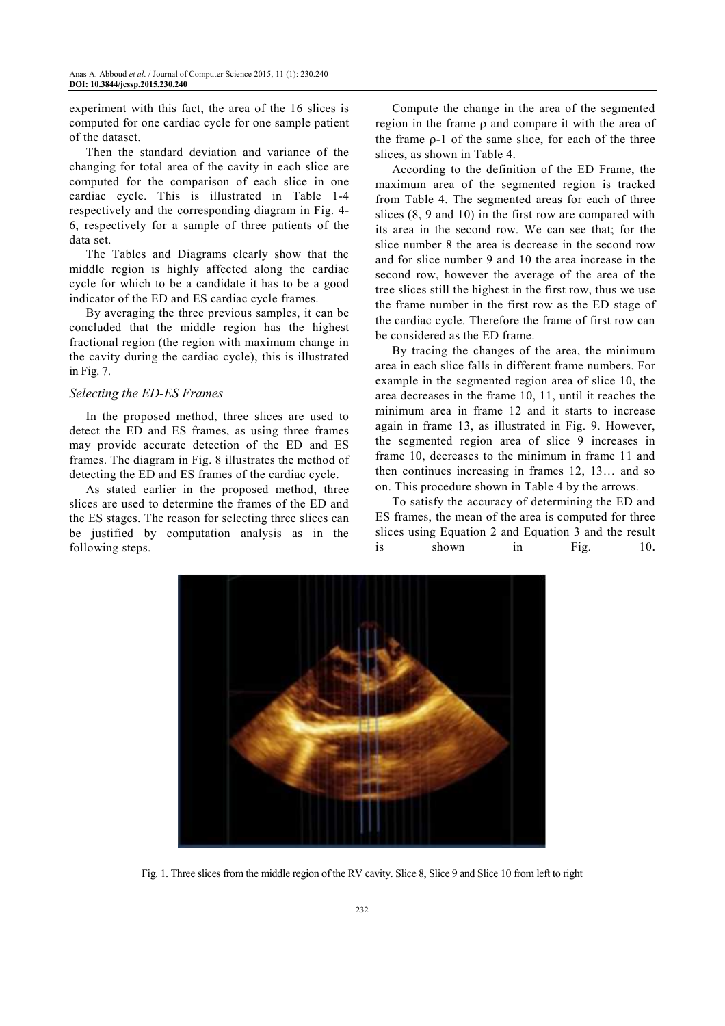experiment with this fact, the area of the 16 slices is computed for one cardiac cycle for one sample patient of the dataset.

Then the standard deviation and variance of the changing for total area of the cavity in each slice are computed for the comparison of each slice in one cardiac cycle. This is illustrated in Table 1-4 respectively and the corresponding diagram in Fig. 4- 6, respectively for a sample of three patients of the data set.

The Tables and Diagrams clearly show that the middle region is highly affected along the cardiac cycle for which to be a candidate it has to be a good indicator of the ED and ES cardiac cycle frames.

By averaging the three previous samples, it can be concluded that the middle region has the highest fractional region (the region with maximum change in the cavity during the cardiac cycle), this is illustrated in Fig. 7.

#### *Selecting the ED-ES Frames*

In the proposed method, three slices are used to detect the ED and ES frames, as using three frames may provide accurate detection of the ED and ES frames. The diagram in Fig. 8 illustrates the method of detecting the ED and ES frames of the cardiac cycle.

As stated earlier in the proposed method, three slices are used to determine the frames of the ED and the ES stages. The reason for selecting three slices can be justified by computation analysis as in the following steps.

Compute the change in the area of the segmented region in the frame ρ and compare it with the area of the frame  $\rho$ -1 of the same slice, for each of the three slices, as shown in Table 4.

According to the definition of the ED Frame, the maximum area of the segmented region is tracked from Table 4. The segmented areas for each of three slices (8, 9 and 10) in the first row are compared with its area in the second row. We can see that; for the slice number 8 the area is decrease in the second row and for slice number 9 and 10 the area increase in the second row, however the average of the area of the tree slices still the highest in the first row, thus we use the frame number in the first row as the ED stage of the cardiac cycle. Therefore the frame of first row can be considered as the ED frame.

By tracing the changes of the area, the minimum area in each slice falls in different frame numbers. For example in the segmented region area of slice 10, the area decreases in the frame 10, 11, until it reaches the minimum area in frame 12 and it starts to increase again in frame 13, as illustrated in Fig. 9. However, the segmented region area of slice 9 increases in frame 10, decreases to the minimum in frame 11 and then continues increasing in frames 12, 13… and so on. This procedure shown in Table 4 by the arrows.

To satisfy the accuracy of determining the ED and ES frames, the mean of the area is computed for three slices using Equation 2 and Equation 3 and the result is shown in Fig. 10.



Fig. 1. Three slices from the middle region of the RV cavity. Slice 8, Slice 9 and Slice 10 from left to right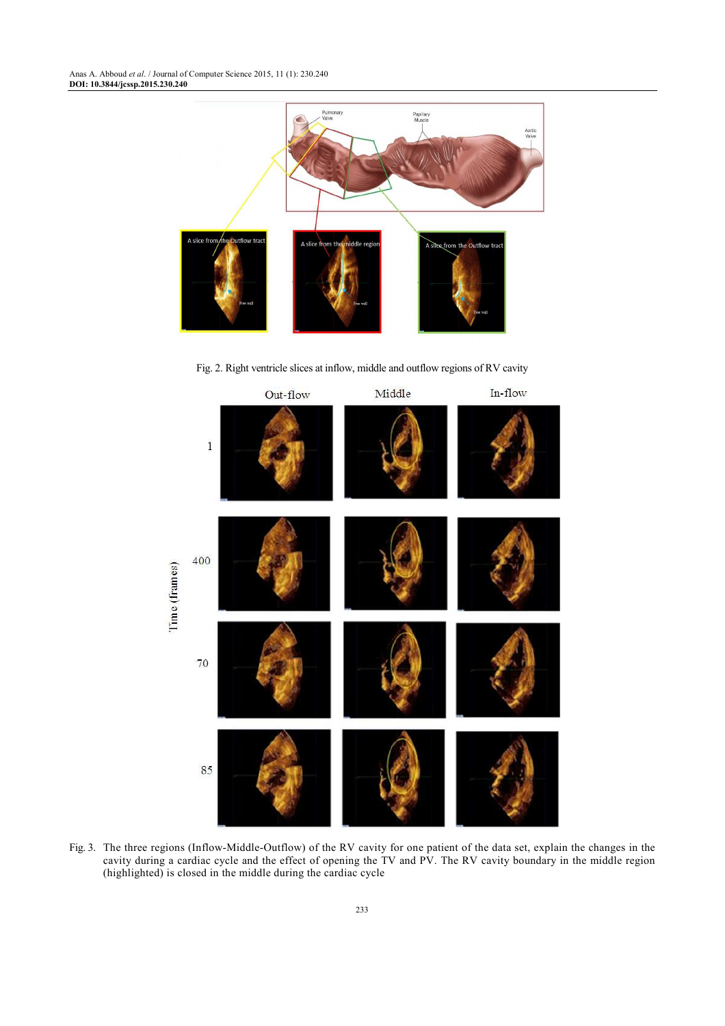

Fig. 2. Right ventricle slices at inflow, middle and outflow regions of RV cavity



Fig. 3. The three regions (Inflow-Middle-Outflow) of the RV cavity for one patient of the data set, explain the changes in the cavity during a cardiac cycle and the effect of opening the TV and PV. The RV cavity boundary in the middle region (highlighted) is closed in the middle during the cardiac cycle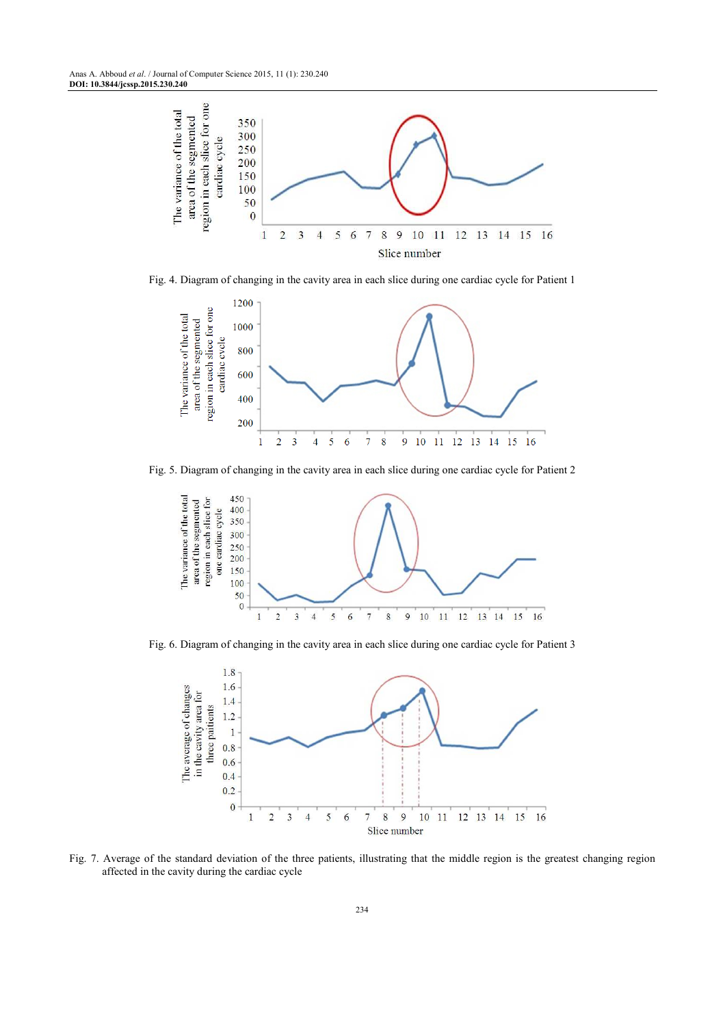

Fig. 4. Diagram of changing in the cavity area in each slice during one cardiac cycle for Patient 1



Fig. 5. Diagram of changing in the cavity area in each slice during one cardiac cycle for Patient 2



Fig. 6. Diagram of changing in the cavity area in each slice during one cardiac cycle for Patient 3



Fig. 7. Average of the standard deviation of the three patients, illustrating that the middle region is the greatest changing region affected in the cavity during the cardiac cycle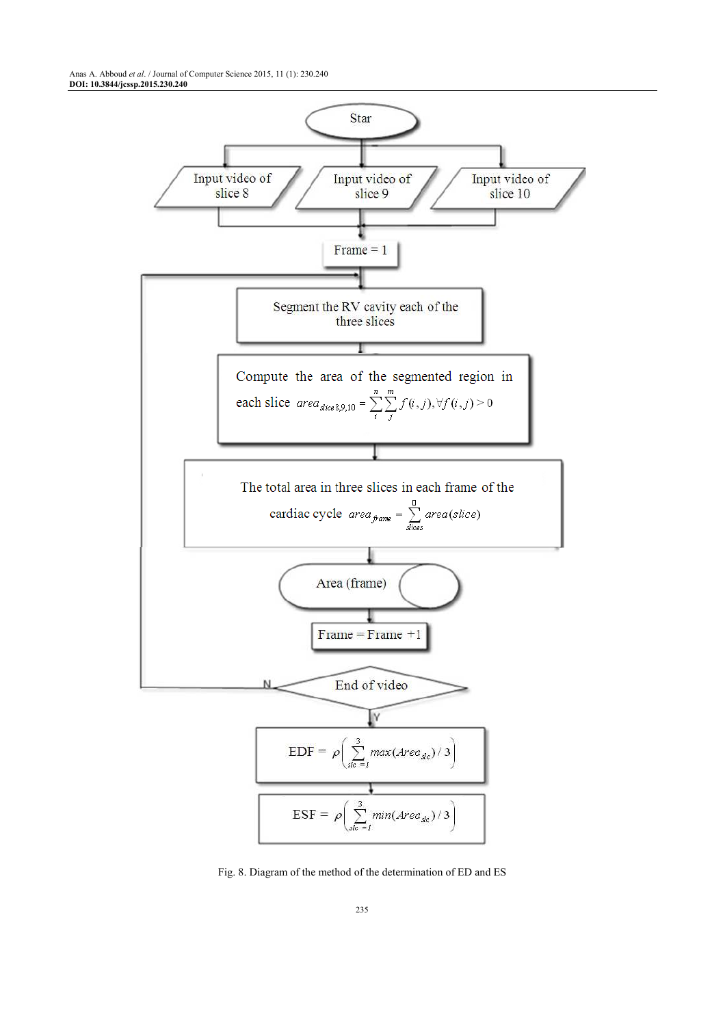

Fig. 8. Diagram of the method of the determination of ED and ES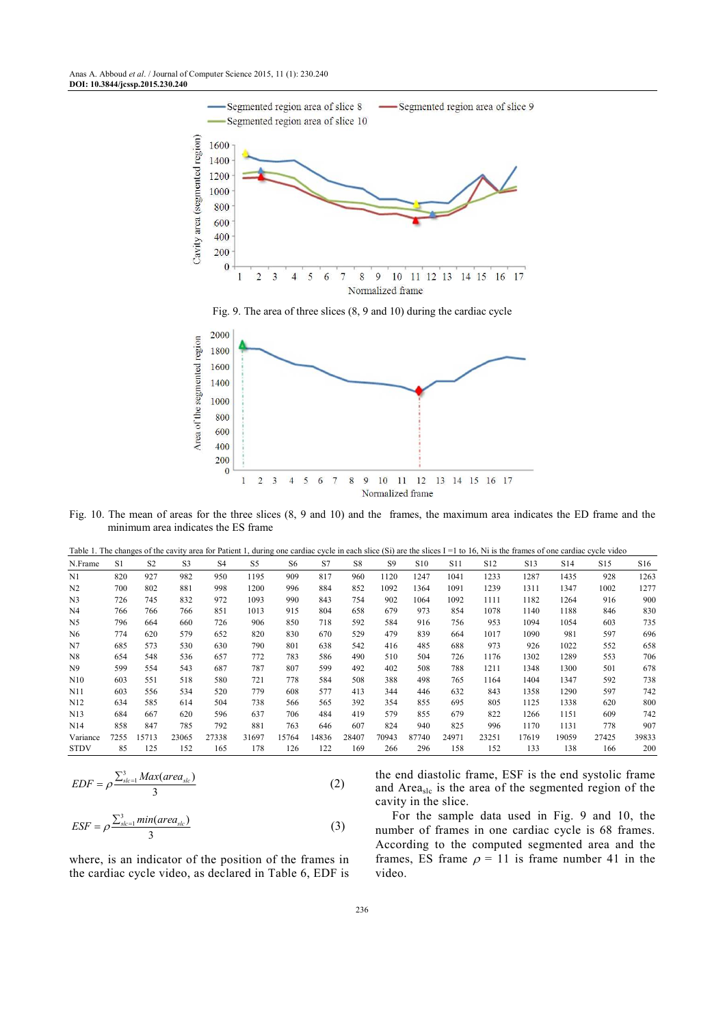

Fig. 9. The area of three slices (8, 9 and 10) during the cardiac cycle



Fig. 10. The mean of areas for the three slices (8, 9 and 10) and the frames, the maximum area indicates the ED frame and the minimum area indicates the ES frame

|  | Table 1. The changes of the cavity area for Patient 1, during one cardiac cycle in each slice (Si) are the slices I = 1 to 16, Ni is the frames of one cardiac cycle video |  |
|--|----------------------------------------------------------------------------------------------------------------------------------------------------------------------------|--|
|  |                                                                                                                                                                            |  |
|  |                                                                                                                                                                            |  |

| N.Frame         | S1   | S <sub>2</sub> | S <sub>3</sub> | S <sub>4</sub> | S <sub>5</sub> | S6    | S7    | S8    | S <sub>9</sub> | S <sub>10</sub> | <b>S11</b> | S <sub>12</sub> | S <sub>13</sub> | S <sub>14</sub> | S <sub>15</sub> | S <sub>16</sub> |
|-----------------|------|----------------|----------------|----------------|----------------|-------|-------|-------|----------------|-----------------|------------|-----------------|-----------------|-----------------|-----------------|-----------------|
| N1              | 820  | 927            | 982            | 950            | 1195           | 909   | 817   | 960   | 1120           | 1247            | 1041       | 1233            | 1287            | 1435            | 928             | 1263            |
| N <sub>2</sub>  | 700  | 802            | 881            | 998            | 1200           | 996   | 884   | 852   | 1092           | 1364            | 1091       | 1239            | 1311            | 1347            | 1002            | 1277            |
| N <sub>3</sub>  | 726  | 745            | 832            | 972            | 1093           | 990   | 843   | 754   | 902            | 1064            | 1092       | 1111            | 1182            | 1264            | 916             | 900             |
| N <sub>4</sub>  | 766  | 766            | 766            | 851            | 1013           | 915   | 804   | 658   | 679            | 973             | 854        | 1078            | 1140            | 1188            | 846             | 830             |
| N <sub>5</sub>  | 796  | 664            | 660            | 726            | 906            | 850   | 718   | 592   | 584            | 916             | 756        | 953             | 1094            | 1054            | 603             | 735             |
| N <sub>6</sub>  | 774  | 620            | 579            | 652            | 820            | 830   | 670   | 529   | 479            | 839             | 664        | 1017            | 1090            | 981             | 597             | 696             |
| N7              | 685  | 573            | 530            | 630            | 790            | 801   | 638   | 542   | 416            | 485             | 688        | 973             | 926             | 1022            | 552             | 658             |
| N <sub>8</sub>  | 654  | 548            | 536            | 657            | 772            | 783   | 586   | 490   | 510            | 504             | 726        | 1176            | 1302            | 1289            | 553             | 706             |
| N <sub>9</sub>  | 599  | 554            | 543            | 687            | 787            | 807   | 599   | 492   | 402            | 508             | 788        | 1211            | 1348            | 1300            | 501             | 678             |
| N10             | 603  | 551            | 518            | 580            | 721            | 778   | 584   | 508   | 388            | 498             | 765        | 1164            | 1404            | 1347            | 592             | 738             |
| N11             | 603  | 556            | 534            | 520            | 779            | 608   | 577   | 413   | 344            | 446             | 632        | 843             | 1358            | 1290            | 597             | 742             |
| N <sub>12</sub> | 634  | 585            | 614            | 504            | 738            | 566   | 565   | 392   | 354            | 855             | 695        | 805             | 1125            | 1338            | 620             | 800             |
| N13             | 684  | 667            | 620            | 596            | 637            | 706   | 484   | 419   | 579            | 855             | 679        | 822             | 1266            | 1151            | 609             | 742             |
| N14             | 858  | 847            | 785            | 792            | 881            | 763   | 646   | 607   | 824            | 940             | 825        | 996             | 1170            | 1131            | 778             | 907             |
| Variance        | 7255 | 15713          | 23065          | 27338          | 31697          | 15764 | 14836 | 28407 | 70943          | 87740           | 24971      | 23251           | 17619           | 19059           | 27425           | 39833           |
| <b>STDV</b>     | 85   | 125            | 152            | 165            | 178            | 126   | 122   | 169   | 266            | 296             | 158        | 152             | 133             | 138             | 166             | 200             |

$$
EDF = \rho \frac{\sum_{slc=1}^{3} Max(area_{slc})}{3} \tag{2}
$$

$$
ESF = \rho \frac{\sum_{slc=1}^{3} min(area_{slc})}{3}
$$
 (3)

where, is an indicator of the position of the frames in the cardiac cycle video, as declared in Table 6, EDF is the end diastolic frame, ESF is the end systolic frame and Area<sub>slc</sub> is the area of the segmented region of the cavity in the slice.

For the sample data used in Fig. 9 and 10, the number of frames in one cardiac cycle is 68 frames. According to the computed segmented area and the frames, ES frame  $\rho = 11$  is frame number 41 in the video.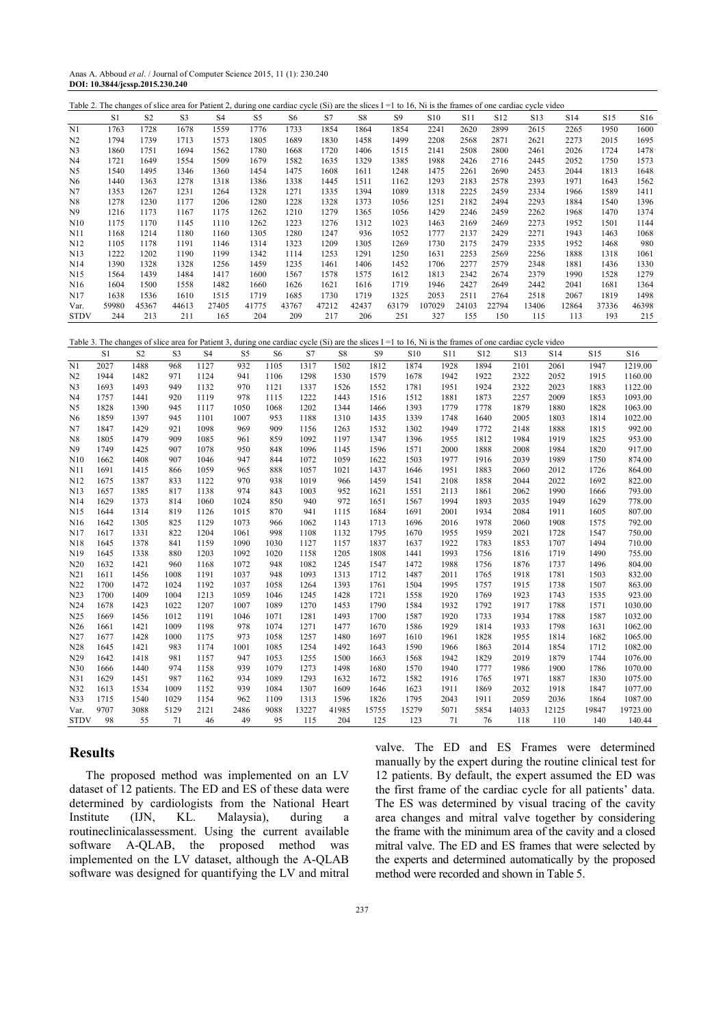Anas A. Abboud *et al*. / Journal of Computer Science 2015, 11 (1): 230.240 **DOI: 10.3844/jcssp.2015.230.240** 

| Table 2. The changes of slice area for Patient 2, during one cardiac cycle (Si) are the slices I = 1 to 16, Ni is the frames of one cardiac cycle video |       |                |                |                                                                                                                                                           |                |      |                |       |                |                |            |                 |                 |                 |       |                 |                 |
|---------------------------------------------------------------------------------------------------------------------------------------------------------|-------|----------------|----------------|-----------------------------------------------------------------------------------------------------------------------------------------------------------|----------------|------|----------------|-------|----------------|----------------|------------|-----------------|-----------------|-----------------|-------|-----------------|-----------------|
|                                                                                                                                                         | S1    | S <sub>2</sub> | S <sub>3</sub> | S4                                                                                                                                                        | S5             |      | S <sub>6</sub> | S7    | S8             | S <sub>9</sub> | S10        | S <sub>11</sub> | S12             | S <sub>13</sub> | S14   | S <sub>15</sub> | S <sub>16</sub> |
| N1                                                                                                                                                      | 1763  | 1728           | 1678           | 1559                                                                                                                                                      | 1776           |      | 1733           | 1854  | 1864           | 1854           | 2241       | 2620            | 2899            | 2615            | 2265  | 1950            | 1600            |
| N <sub>2</sub>                                                                                                                                          | 1794  | 1739           | 1713           | 1573                                                                                                                                                      | 1805           |      | 1689           | 1830  | 1458           | 1499           | 2208       | 2568            | 2871            | 2621            | 2273  | 2015            | 1695            |
| N3                                                                                                                                                      | 1860  | 1751           | 1694           | 1562                                                                                                                                                      | 1780           |      | 1668           | 1720  | 1406           | 1515           | 2141       | 2508            | 2800            | 2461            | 2026  | 1724            | 1478            |
| N4                                                                                                                                                      | 1721  | 1649           | 1554           | 1509                                                                                                                                                      | 1679           |      | 1582           | 1635  | 1329           | 1385           | 1988       | 2426            | 2716            | 2445            | 2052  | 1750            | 1573            |
| N5                                                                                                                                                      | 1540  | 1495           | 1346           | 1360                                                                                                                                                      | 1454           |      | 1475           | 1608  | 1611           | 1248           | 1475       | 2261            | 2690            | 2453            | 2044  | 1813            | 1648            |
| N <sub>6</sub>                                                                                                                                          | 1440  | 1363           | 1278           | 1318                                                                                                                                                      | 1386           |      | 1338           | 1445  | 1511           | 1162           | 1293       | 2183            | 2578            | 2393            | 1971  | 1643            | 1562            |
| N7                                                                                                                                                      | 1353  | 1267           | 1231           | 1264                                                                                                                                                      | 1328           |      | 1271           | 1335  | 1394           | 1089           | 1318       | 2225            | 2459            | 2334            | 1966  | 1589            | 1411            |
| N8                                                                                                                                                      | 1278  | 1230           | 1177           | 1206                                                                                                                                                      | 1280           |      | 1228           | 1328  | 1373           | 1056           | 1251       | 2182            | 2494            | 2293            | 1884  | 1540            | 1396            |
| N9                                                                                                                                                      | 1216  | 1173           | 1167           | 1175                                                                                                                                                      | 1262           |      | 1210           | 1279  | 1365           | 1056           | 1429       | 2246            | 2459            | 2262            | 1968  | 1470            | 1374            |
| N10                                                                                                                                                     | 1175  | 1170           | 1145           | 1110                                                                                                                                                      | 1262           |      | 1223           | 1276  | 1312           | 1023           | 1463       | 2169            | 2469            | 2273            | 1952  | 1501            | 1144            |
| N11                                                                                                                                                     | 1168  | 1214           | 1180           | 1160                                                                                                                                                      | 1305           |      | 1280           | 1247  | 936            | 1052           | 1777       | 2137            | 2429            | 2271            | 1943  | 1463            | 1068            |
| N12                                                                                                                                                     | 1105  | 1178           | 1191           | 1146                                                                                                                                                      | 1314           |      | 1323           | 1209  | 1305           | 1269           | 1730       | 2175            | 2479            | 2335            | 1952  | 1468            | 980             |
| N13                                                                                                                                                     | 1222  | 1202           | 1190           | 1199                                                                                                                                                      | 1342           |      | 1114           | 1253  | 1291           | 1250           | 1631       | 2253            | 2569            | 2256            | 1888  | 1318            | 1061            |
| N14                                                                                                                                                     | 1390  | 1328           | 1328           | 1256                                                                                                                                                      | 1459           |      | 1235           | 1461  | 1406           | 1452           | 1706       | 2277            | 2579            | 2348            | 1881  | 1436            | 1330            |
| N15                                                                                                                                                     | 1564  | 1439           | 1484           | 1417                                                                                                                                                      | 1600           |      | 1567           | 1578  | 1575           | 1612           | 1813       | 2342            | 2674            | 2379            | 1990  | 1528            | 1279            |
| N <sub>16</sub>                                                                                                                                         | 1604  | 1500           | 1558           | 1482                                                                                                                                                      | 1660           |      | 1626           | 1621  | 1616           | 1719           | 1946       | 2427            | 2649            | 2442            | 2041  | 1681            | 1364            |
| N17                                                                                                                                                     | 1638  | 1536           | 1610           | 1515                                                                                                                                                      | 1719           |      | 1685           | 1730  | 1719           | 1325           | 2053       | 2511            | 2764            | 2518            | 2067  | 1819            | 1498            |
| Var.                                                                                                                                                    | 59980 | 45367          | 44613          | 27405                                                                                                                                                     | 41775          |      | 43767          | 47212 | 42437          | 63179          | 107029     | 24103           | 22794           | 13406           | 12864 | 37336           | 46398           |
| <b>STDV</b>                                                                                                                                             | 244   | 213            | 211            | 165                                                                                                                                                       | 204            |      | 209            | 217   | 206            | 251            | 327        | 155             | 150             | 115             | 113   | 193             | 215             |
|                                                                                                                                                         |       |                |                | Table 3. The changes of slice area for Patient 3, during one cardiac cycle (Si) are the slices $I = 1$ to 16, Ni is the frames of one cardiac cycle video |                |      |                |       |                |                |            |                 |                 |                 |       |                 |                 |
|                                                                                                                                                         | S1    | S <sub>2</sub> | S <sub>3</sub> | S <sub>4</sub>                                                                                                                                            | S <sub>5</sub> | S6   | S7             | S8    | S <sub>9</sub> | S10            | <b>S11</b> |                 | S <sub>12</sub> | S13             | S14   | S15             | S16             |
| N1                                                                                                                                                      | 2027  | 1488           | 968            | 1127                                                                                                                                                      | 932            | 1105 | 1317           | 1502  | 1812           | 1874           | 1928       |                 | 1894            | 2101            | 2061  | 1947            | 1219.00         |
| N <sub>2</sub>                                                                                                                                          | 1944  | 1482           | 971            | 1124                                                                                                                                                      | 941            | 1106 | 1298           | 1530  | 1579           | 1678           | 1942       |                 | 1922            | 2322            | 2052  | 1915            | 1160.00         |
| N3                                                                                                                                                      | 1693  | 1493           | 949            | 1132                                                                                                                                                      | 970            | 1121 | 1337           | 1526  | 1552           | 1781           | 1951       |                 | 1924            | 2322            | 2023  | 1883            | 1122.00         |
| N4                                                                                                                                                      | 1757  | 1441           | 920            | 1119                                                                                                                                                      | 978            | 1115 | 1222           | 1443  | 1516           | 1512           | 1881       |                 | 1873            | 2257            | 2009  | 1853            | 1093.00         |
| N5                                                                                                                                                      | 1828  | 1390           | 945            | 1117                                                                                                                                                      | 1050           | 1068 | 1202           | 1344  | 1466           | 1393           | 1779       |                 | 1778            | 1879            | 1880  | 1828            | 1063.00         |
| N <sub>6</sub>                                                                                                                                          | 1859  | 1397           | 945            | 1101                                                                                                                                                      | 1007           | 953  | 1188           | 1310  | 1435           | 1339           | 1748       |                 | 1640            | 2005            | 1803  | 1814            | 1022.00         |
| N7                                                                                                                                                      | 1847  | 1429           | 921            | 1098                                                                                                                                                      | 969            | 909  | 1156           | 1263  | 1532           | 1302           | 1949       |                 | 1772            | 2148            | 1888  | 1815            | 992.00          |
| N8                                                                                                                                                      | 1805  | 1479           | 909            | 1085                                                                                                                                                      | 961            | 859  | 1092           | 1197  | 1347           | 1396           | 1955       |                 | 1812            | 1984            | 1919  | 1825            | 953.00          |
| N9                                                                                                                                                      | 1749  | 1425           | 907            | 1078                                                                                                                                                      | 950            | 848  | 1096           | 1145  | 1596           | 1571           | 2000       |                 | 1888            | 2008            | 1984  | 1820            | 917.00          |
| N10                                                                                                                                                     | 1662  | 1408           | 907            | 1046                                                                                                                                                      | 947            | 844  | 1072           | 1059  | 1622           | 1503           | 1977       |                 | 1916            | 2039            | 1989  | 1750            | 874.00          |
| N11                                                                                                                                                     | 1691  | 1415           | 866            | 1059                                                                                                                                                      | 965            | 888  | 1057           | 1021  | 1437           | 1646           | 1951       |                 | 1883            | 2060            | 2012  | 1726            | 864.00          |
| N <sub>12</sub>                                                                                                                                         | 1675  | 1387           | 833            | 1122                                                                                                                                                      | 970            | 938  | 1019           | 966   | 1459           | 1541           | 2108       |                 | 1858            | 2044            | 2022  | 1692            | 822.00          |
| N13                                                                                                                                                     | 1657  | 1385           | 817            | 1138                                                                                                                                                      | 974            | 843  | 1003           | 952   | 1621           | 1551           | 2113       |                 | 1861            | 2062            | 1990  | 1666            | 793.00          |
| N14                                                                                                                                                     | 1629  | 1373           | 814            | 1060                                                                                                                                                      | 1024           | 850  | 940            | 972   | 1651           | 1567           | 1994       |                 | 1893            | 2035            | 1949  | 1629            | 778.00          |
| N15                                                                                                                                                     | 1644  | 1314           | 819            | 1126                                                                                                                                                      | 1015           | 870  | 941            | 1115  | 1684           | 1691           | 2001       |                 | 1934            | 2084            | 1911  | 1605            | 807.00          |
| N <sub>16</sub>                                                                                                                                         | 1642  | 1305           | 825            | 1129                                                                                                                                                      | 1073           | 966  | 1062           | 1143  | 1713           | 1696           | 2016       |                 | 1978            | 2060            | 1908  | 1575            | 792.00          |
| N17                                                                                                                                                     | 1617  | 1331           | 822            | 1204                                                                                                                                                      | 1061           | 998  | 1108           | 1132  | 1795           | 1670           | 1955       |                 | 1959            | 2021            | 1728  | 1547            | 750.00          |
| N18                                                                                                                                                     | 1645  | 1378           | 841            | 1159                                                                                                                                                      | 1090           | 1030 | 1127           | 1157  | 1837           | 1637           | 1922       |                 | 1783            | 1853            | 1707  | 1494            | 710.00          |
| N19                                                                                                                                                     | 1645  | 1338           | 880            | 1203                                                                                                                                                      | 1092           | 1020 | 1158           | 1205  | 1808           | 1441           | 1993       |                 | 1756            | 1816            | 1719  | 1490            | 755.00          |
| N20                                                                                                                                                     | 1632  | 1421           | 960            | 1168                                                                                                                                                      | 1072           | 948  | 1082           | 1245  | 1547           | 1472           | 1988       |                 | 1756            | 1876            | 1737  | 1496            | 804.00          |
| N21                                                                                                                                                     | 1611  | 1456           | 1008           | 1191                                                                                                                                                      | 1037           | 948  | 1093           | 1313  | 1712           | 1487           | 2011       |                 | 1765            | 1918            | 1781  | 1503            | 832.00          |
| N <sub>22</sub>                                                                                                                                         | 1700  | 1472           | 1024           | 1192                                                                                                                                                      | 1037           | 1058 | 1264           | 1393  | 1761           | 1504           | 1995       |                 | 1757            | 1915            | 1738  | 1507            | 863.00          |
| N23                                                                                                                                                     | 1700  | 1409           | 1004           | 1213                                                                                                                                                      | 1059           | 1046 | 1245           | 1428  | 1721           | 1558           | 1920       |                 | 1769            | 1923            | 1743  | 1535            | 923.00          |
| N24                                                                                                                                                     | 1678  | 1423           | 1022           | 1207                                                                                                                                                      | 1007           | 1089 | 1270           | 1453  | 1790           | 1584           | 1932       |                 | 1792            | 1917            | 1788  | 1571            | 1030.00         |
| N25                                                                                                                                                     | 1669  | 1456           | 1012           | 1191                                                                                                                                                      | 1046           | 1071 | 1281           | 1493  | 1700           | 1587           | 1920       |                 | 1733            | 1934            | 1788  | 1587            | 1032.00         |
| N <sub>26</sub>                                                                                                                                         | 1661  | 1421           | 1009           | 1198                                                                                                                                                      | 978            | 1074 | 1271           | 1477  | 1670           | 1586           | 1929       |                 | 1814            | 1933            | 1798  | 1631            | 1062.00         |
| N27                                                                                                                                                     | 1677  | 1428           | 1000           | 1175                                                                                                                                                      | 973            | 1058 | 1257           | 1480  | 1697           | 1610           | 1961       |                 | 1828            | 1955            | 1814  | 1682            | 1065.00         |
| N28                                                                                                                                                     | 1645  | 1421           | 983            | 1174                                                                                                                                                      | 1001           | 1085 | 1254           | 1492  | 1643           | 1590           | 1966       |                 | 1863            | 2014            | 1854  | 1712            | 1082.00         |
| N29                                                                                                                                                     | 1642  | 1418           | 981            | 1157                                                                                                                                                      | 947            | 1053 | 1255           | 1500  | 1663           | 1568           | 1942       |                 | 1829            | 2019            | 1879  | 1744            | 1076.00         |
| N30                                                                                                                                                     | 1666  | 1440           | 974            | 1158                                                                                                                                                      | 939            | 1079 | 1273           | 1498  | 1680           | 1570           | 1940       |                 | 1777            | 1986            | 1900  | 1786            | 1070.00         |
| N31                                                                                                                                                     | 1629  | 1451           | 987            | 1162                                                                                                                                                      | 934            | 1089 | 1293           | 1632  | 1672           | 1582           | 1916       |                 | 1765            | 1971            | 1887  | 1830            | 1075.00         |
| N32                                                                                                                                                     | 1613  | 1534           | 1009           | 1152                                                                                                                                                      | 939            | 1084 | 1307           | 1609  | 1646           | 1623           | 1911       |                 | 1869            | 2032            | 1918  | 1847            | 1077.00         |
| N33                                                                                                                                                     | 1715  | 1540           | 1029           | 1154                                                                                                                                                      | 962            | 1109 | 1313           | 1596  | 1826           | 1795           | 2043       |                 | 1911            | 2059            | 2036  | 1864            | 1087.00         |
| Var.                                                                                                                                                    | 9707  | 3088           | 5129           | 2121                                                                                                                                                      | 2486           | 9088 | 13227          | 41985 | 15755          | 15279          | 5071       |                 | 5854            | 14033           | 12125 | 19847           | 19723.00        |
| <b>STDV</b>                                                                                                                                             | 98    | 55             | 71             | 46                                                                                                                                                        | 49             | 95   | 115            | 204   | 125            | 123            |            | 71              | 76              | 118             | 110   | 140             | 140.44          |

## **Results**

The proposed method was implemented on an LV dataset of 12 patients. The ED and ES of these data were determined by cardiologists from the National Heart Institute (IJN, KL. Malaysia), during a routineclinicalassessment. Using the current available software A-QLAB, the proposed method was implemented on the LV dataset, although the A-QLAB software was designed for quantifying the LV and mitral valve. The ED and ES Frames were determined manually by the expert during the routine clinical test for 12 patients. By default, the expert assumed the ED was the first frame of the cardiac cycle for all patients' data. The ES was determined by visual tracing of the cavity area changes and mitral valve together by considering the frame with the minimum area of the cavity and a closed mitral valve. The ED and ES frames that were selected by the experts and determined automatically by the proposed method were recorded and shown in Table 5.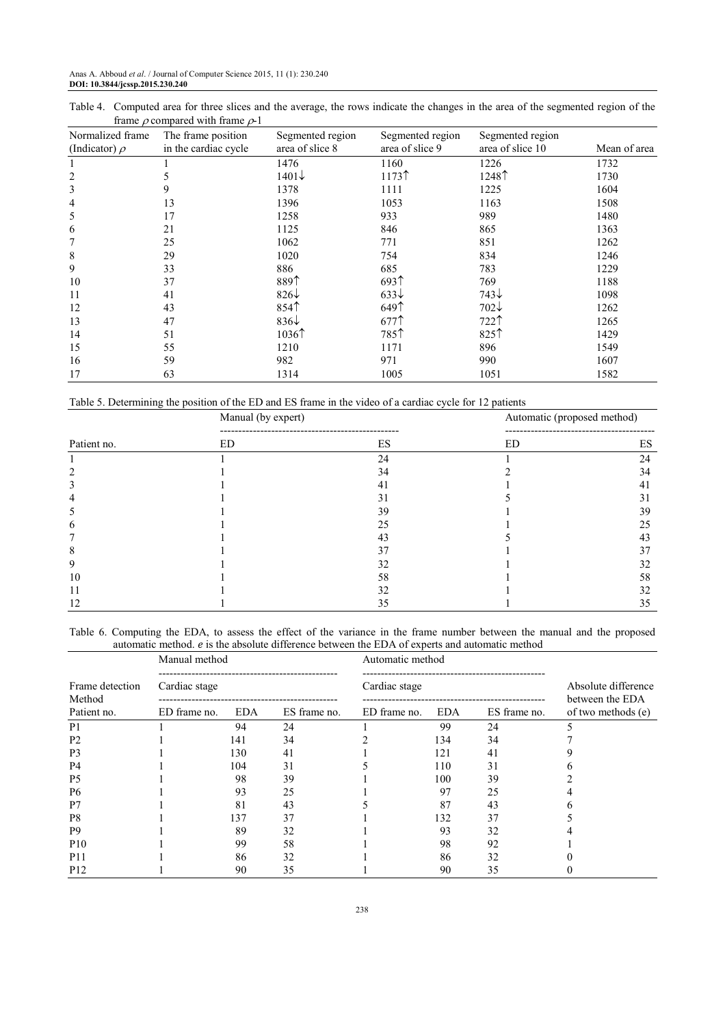| Normalized frame<br>(Indicator) $\rho$ | $\mu$ anno $\rho$ compared with name $\rho$ -1<br>The frame position<br>in the cardiac cycle | Segmented region<br>area of slice 8 | Segmented region<br>area of slice 9    | Segmented region<br>area of slice 10 | Mean of area |
|----------------------------------------|----------------------------------------------------------------------------------------------|-------------------------------------|----------------------------------------|--------------------------------------|--------------|
|                                        |                                                                                              | 1476                                | 1160                                   | 1226                                 | 1732         |
| 2                                      | 5                                                                                            | $1401\downarrow$                    | 11731                                  | 12481                                | 1730         |
| 3                                      | 9                                                                                            | 1378                                | 1111                                   | 1225                                 | 1604         |
| 4                                      | 13                                                                                           | 1396                                | 1053                                   | 1163                                 | 1508         |
| 5                                      | 17                                                                                           | 1258                                | 933                                    | 989                                  | 1480         |
| 6                                      | 21                                                                                           | 1125                                | 846                                    | 865                                  | 1363         |
| 7                                      | 25                                                                                           | 1062                                | 771                                    | 851                                  | 1262         |
| 8                                      | 29                                                                                           | 1020                                | 754                                    | 834                                  | 1246         |
| 9                                      | 33                                                                                           | 886                                 | 685                                    | 783                                  | 1229         |
| 10                                     | 37                                                                                           | 8891                                | 693 <sup>†</sup>                       | 769                                  | 1188         |
| 11                                     | 41                                                                                           | $826\downarrow$                     | $633\sqrt{ }$                          | $743\downarrow$                      | 1098         |
| 12                                     | 43                                                                                           | 8541                                | 649                                    | $702\downarrow$                      | 1262         |
| 13                                     | 47                                                                                           | 836 $\downarrow$                    | $677$ <sup><math>\uparrow</math></sup> | 722                                  | 1265         |
| 14                                     | 51                                                                                           | 10361                               | 7851                                   | 825                                  | 1429         |
| 15                                     | 55                                                                                           | 1210                                | 1171                                   | 896                                  | 1549         |
| 16                                     | 59                                                                                           | 982                                 | 971                                    | 990                                  | 1607         |
| 17                                     | 63                                                                                           | 1314                                | 1005                                   | 1051                                 | 1582         |

Table 4. Computed area for three slices and the average, the rows indicate the changes in the area of the segmented region of the frame  $\rho$  compared with frame  $\rho$ -1

Table 5. Determining the position of the ED and ES frame in the video of a cardiac cycle for 12 patients

| Patient no. | Manual (by expert) |    | Automatic (proposed method) |    |  |  |
|-------------|--------------------|----|-----------------------------|----|--|--|
|             | ED                 | ES | ED                          | ES |  |  |
|             |                    | 24 |                             | 24 |  |  |
|             |                    | 34 |                             | 34 |  |  |
|             |                    | 41 |                             | 41 |  |  |
|             |                    | 31 |                             | 31 |  |  |
|             |                    | 39 |                             | 39 |  |  |
| b           |                    | 25 |                             | 25 |  |  |
|             |                    | 43 |                             | 43 |  |  |
| Δ           |                    |    |                             | 37 |  |  |
| 9           |                    | 32 |                             | 32 |  |  |
| 10          |                    | 58 |                             | 58 |  |  |
|             |                    | 32 |                             | 32 |  |  |
| 12          |                    | 35 |                             | 35 |  |  |

Table 6. Computing the EDA, to assess the effect of the variance in the frame number between the manual and the proposed automatic method.  $e$  is the absolute difference between the EDA of experts and automatic method

|                           | Manual method |            |              | Automatic method |                                        |              |                    |  |
|---------------------------|---------------|------------|--------------|------------------|----------------------------------------|--------------|--------------------|--|
| Frame detection<br>Method | Cardiac stage |            |              | Cardiac stage    | Absolute difference<br>between the EDA |              |                    |  |
| Patient no.               | ED frame no.  | <b>EDA</b> | ES frame no. | ED frame no.     | <b>EDA</b>                             | ES frame no. | of two methods (e) |  |
| P <sub>1</sub>            |               | 94         | 24           |                  | 99                                     | 24           |                    |  |
| P <sub>2</sub>            |               | 141        | 34           |                  | 134                                    | 34           |                    |  |
| P <sub>3</sub>            |               | 130        | 41           |                  | 121                                    | 41           |                    |  |
| P <sub>4</sub>            |               | 104        | 31           |                  | 110                                    | 31           |                    |  |
| P <sub>5</sub>            |               | 98         | 39           |                  | 100                                    | 39           |                    |  |
| <b>P6</b>                 |               | 93         | 25           |                  | 97                                     | 25           |                    |  |
| P7                        |               | 81         | 43           |                  | 87                                     | 43           |                    |  |
| P <sub>8</sub>            |               | 137        | 37           |                  | 132                                    | 37           |                    |  |
| P <sub>9</sub>            |               | 89         | 32           |                  | 93                                     | 32           |                    |  |
| P <sub>10</sub>           |               | 99         | 58           |                  | 98                                     | 92           |                    |  |
| <b>P11</b>                |               | 86         | 32           |                  | 86                                     | 32           |                    |  |
| P <sub>12</sub>           |               | 90         | 35           |                  | 90                                     | 35           |                    |  |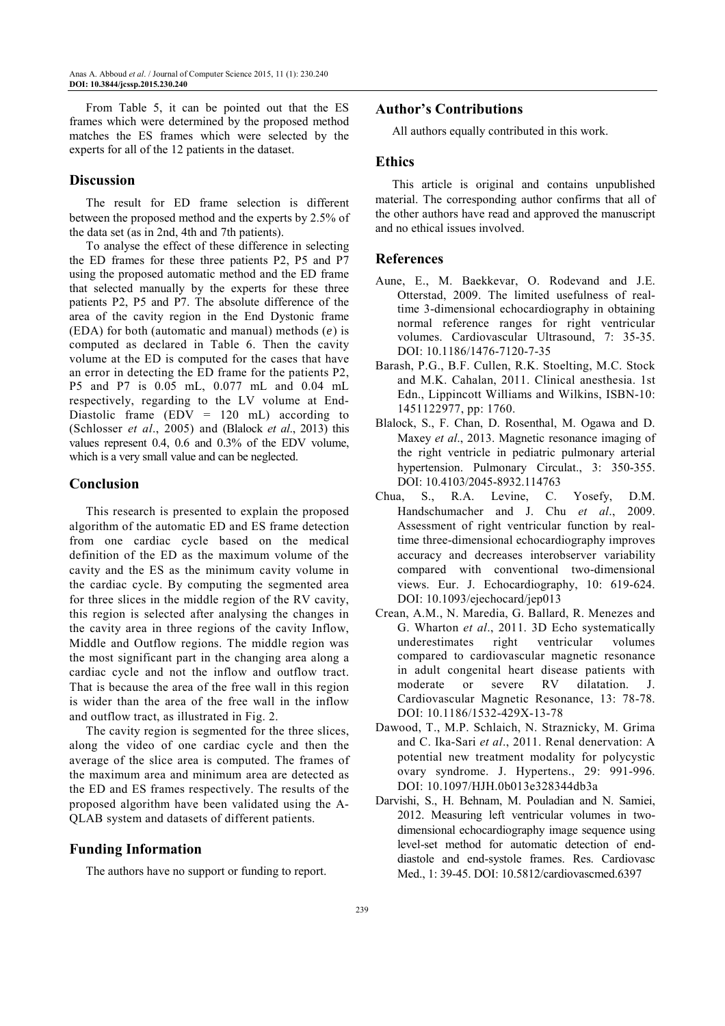From Table 5, it can be pointed out that the ES frames which were determined by the proposed method matches the ES frames which were selected by the experts for all of the 12 patients in the dataset.

## **Discussion**

The result for ED frame selection is different between the proposed method and the experts by 2.5% of the data set (as in 2nd, 4th and 7th patients).

To analyse the effect of these difference in selecting the ED frames for these three patients P2, P5 and P7 using the proposed automatic method and the ED frame that selected manually by the experts for these three patients P2, P5 and P7. The absolute difference of the area of the cavity region in the End Dystonic frame (EDA) for both (automatic and manual) methods  $(e)$  is computed as declared in Table 6. Then the cavity volume at the ED is computed for the cases that have an error in detecting the ED frame for the patients P2, P5 and P7 is 0.05 mL, 0.077 mL and 0.04 mL respectively, regarding to the LV volume at End-Diastolic frame  $(EDV = 120 \text{ mL})$  according to (Schlosser *et al*., 2005) and (Blalock *et al*., 2013) this values represent 0.4, 0.6 and 0.3% of the EDV volume, which is a very small value and can be neglected.

#### **Conclusion**

This research is presented to explain the proposed algorithm of the automatic ED and ES frame detection from one cardiac cycle based on the medical definition of the ED as the maximum volume of the cavity and the ES as the minimum cavity volume in the cardiac cycle. By computing the segmented area for three slices in the middle region of the RV cavity, this region is selected after analysing the changes in the cavity area in three regions of the cavity Inflow, Middle and Outflow regions. The middle region was the most significant part in the changing area along a cardiac cycle and not the inflow and outflow tract. That is because the area of the free wall in this region is wider than the area of the free wall in the inflow and outflow tract, as illustrated in Fig. 2.

The cavity region is segmented for the three slices, along the video of one cardiac cycle and then the average of the slice area is computed. The frames of the maximum area and minimum area are detected as the ED and ES frames respectively. The results of the proposed algorithm have been validated using the A-QLAB system and datasets of different patients.

## **Funding Information**

The authors have no support or funding to report.

### **Author's Contributions**

All authors equally contributed in this work.

#### **Ethics**

This article is original and contains unpublished material. The corresponding author confirms that all of the other authors have read and approved the manuscript and no ethical issues involved.

#### **References**

- Aune, E., M. Baekkevar, O. Rodevand and J.E. Otterstad, 2009. The limited usefulness of realtime 3-dimensional echocardiography in obtaining normal reference ranges for right ventricular volumes. Cardiovascular Ultrasound, 7: 35-35. DOI: 10.1186/1476-7120-7-35
- Barash, P.G., B.F. Cullen, R.K. Stoelting, M.C. Stock and M.K. Cahalan, 2011. Clinical anesthesia. 1st Edn., Lippincott Williams and Wilkins, ISBN-10: 1451122977, pp: 1760.
- Blalock, S., F. Chan, D. Rosenthal, M. Ogawa and D. Maxey *et al*., 2013. Magnetic resonance imaging of the right ventricle in pediatric pulmonary arterial hypertension. Pulmonary Circulat., 3: 350-355. DOI: 10.4103/2045-8932.114763
- Chua, S., R.A. Levine, C. Yosefy, D.M. Handschumacher and J. Chu *et al*., 2009. Assessment of right ventricular function by realtime three-dimensional echocardiography improves accuracy and decreases interobserver variability compared with conventional two-dimensional views. Eur. J. Echocardiography, 10: 619-624. DOI: 10.1093/ejechocard/jep013
- Crean, A.M., N. Maredia, G. Ballard, R. Menezes and G. Wharton *et al*., 2011. 3D Echo systematically underestimates right ventricular volumes compared to cardiovascular magnetic resonance in adult congenital heart disease patients with moderate or severe RV dilatation. J. Cardiovascular Magnetic Resonance, 13: 78-78. DOI: 10.1186/1532-429X-13-78
- Dawood, T., M.P. Schlaich, N. Straznicky, M. Grima and C. Ika-Sari *et al*., 2011. Renal denervation: A potential new treatment modality for polycystic ovary syndrome. J. Hypertens., 29: 991-996. DOI: 10.1097/HJH.0b013e328344db3a
- Darvishi, S., H. Behnam, M. Pouladian and N. Samiei, 2012. Measuring left ventricular volumes in twodimensional echocardiography image sequence using level-set method for automatic detection of enddiastole and end-systole frames. Res. Cardiovasc Med., 1: 39-45. DOI: 10.5812/cardiovascmed.6397